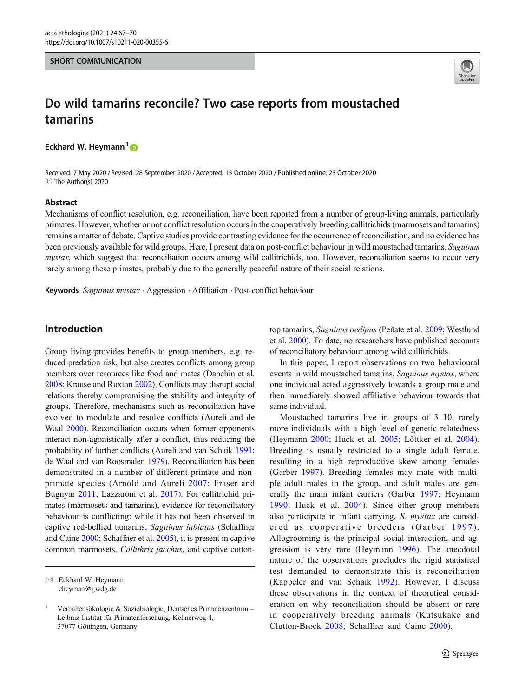#### SHORT COMMUNICATION



# Do wild tamarins reconcile? Two case reports from moustached tamarins

Eckhard W. Heymann<sup>1</sup>

Received: 7 May 2020 / Revised: 28 September 2020 /Accepted: 15 October 2020 / Published online: 23 October 2020 C The Author(s) 2020

#### Abstract

Mechanisms of conflict resolution, e.g. reconciliation, have been reported from a number of group-living animals, particularly primates. However, whether or not conflict resolution occurs in the cooperatively breeding callitrichids (marmosets and tamarins) remains a matter of debate. Captive studies provide contrasting evidence for the occurrence of reconciliation, and no evidence has been previously available for wild groups. Here, I present data on post-conflict behaviour in wild moustached tamarins, Saguinus mystax, which suggest that reconciliation occurs among wild callitrichids, too. However, reconciliation seems to occur very rarely among these primates, probably due to the generally peaceful nature of their social relations.

Keywords Saguinus mystax . Aggression . Affiliation . Post-conflict behaviour

## Introduction

Group living provides benefits to group members, e.g. reduced predation risk, but also creates conflicts among group members over resources like food and mates (Danchin et al. [2008;](#page-3-0) Krause and Ruxton [2002\)](#page-3-0). Conflicts may disrupt social relations thereby compromising the stability and integrity of groups. Therefore, mechanisms such as reconciliation have evolved to modulate and resolve conflicts (Aureli and de Waal  $2000$ ). Reconciliation occurs when former opponents interact non-agonistically after a conflict, thus reducing the probability of further conflicts (Aureli and van Schaik [1991](#page-3-0); de Waal and van Roosmalen [1979](#page-3-0)). Reconciliation has been demonstrated in a number of different primate and nonprimate species (Arnold and Aureli [2007](#page-3-0); Fraser and Bugnyar [2011;](#page-3-0) Lazzaroni et al. [2017](#page-3-0)). For callitrichid primates (marmosets and tamarins), evidence for reconciliatory behaviour is conflicting: while it has not been observed in captive red-bellied tamarins, Saguinus labiatus (Schaffner and Caine [2000;](#page-3-0) Schaffner et al. [2005](#page-3-0)), it is present in captive common marmosets, Callithrix jacchus, and captive cottontop tamarins, Saguinus oedipus (Peñate et al. [2009;](#page-3-0) Westlund et al. [2000](#page-3-0)). To date, no researchers have published accounts of reconciliatory behaviour among wild callitrichids.

In this paper, I report observations on two behavioural events in wild moustached tamarins, Saguinus mystax, where one individual acted aggressively towards a group mate and then immediately showed affiliative behaviour towards that same individual.

Moustached tamarins live in groups of 3–10, rarely more individuals with a high level of genetic relatedness (Heymann [2000](#page-3-0); Huck et al. [2005;](#page-3-0) Löttker et al. [2004](#page-3-0)). Breeding is usually restricted to a single adult female, resulting in a high reproductive skew among females (Garber [1997](#page-3-0)). Breeding females may mate with multiple adult males in the group, and adult males are generally the main infant carriers (Garber [1997](#page-3-0); Heymann [1990;](#page-3-0) Huck et al. [2004\)](#page-3-0). Since other group members also participate in infant carrying, S. mystax are considered as cooperative breeders (Garber [1997](#page-3-0)). Allogrooming is the principal social interaction, and aggression is very rare (Heymann [1996](#page-3-0)). The anecdotal nature of the observations precludes the rigid statistical test demanded to demonstrate this is reconciliation (Kappeler and van Schaik [1992](#page-3-0)). However, I discuss these observations in the context of theoretical consideration on why reconciliation should be absent or rare in cooperatively breeding animals (Kutsukake and Clutton-Brock [2008](#page-3-0); Schaffner and Caine [2000\)](#page-3-0).

 $\boxtimes$  Eckhard W. Heymann [eheyman@gwdg.de](mailto:eheyman@gwdg.de)

<sup>1</sup> Verhaltensökologie & Soziobiologie, Deutsches Primatenzentrum – Leibniz-Institut für Primatenforschung, Kellnerweg 4, 37077 Göttingen, Germany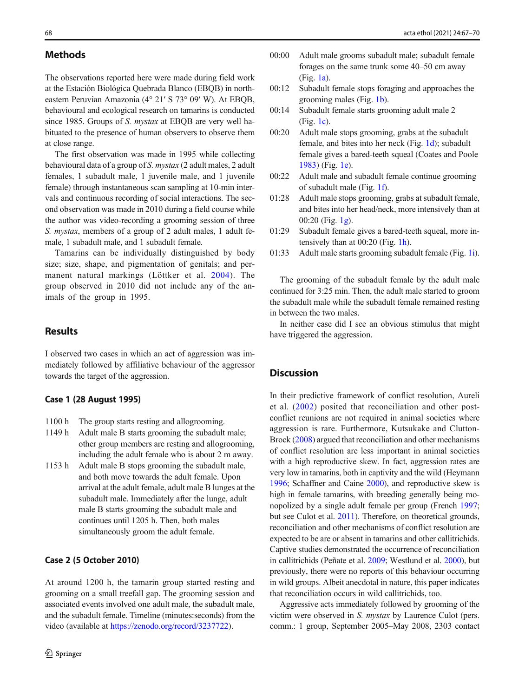The observations reported here were made during field work at the Estación Biológica Quebrada Blanco (EBQB) in northeastern Peruvian Amazonia (4° 21′ S 73° 09′ W). At EBQB, behavioural and ecological research on tamarins is conducted since 1985. Groups of S. mystax at EBQB are very well habituated to the presence of human observers to observe them at close range.

The first observation was made in 1995 while collecting behavioural data of a group of S. mystax (2 adult males, 2 adult females, 1 subadult male, 1 juvenile male, and 1 juvenile female) through instantaneous scan sampling at 10-min intervals and continuous recording of social interactions. The second observation was made in 2010 during a field course while the author was video-recording a grooming session of three S. mystax, members of a group of 2 adult males, 1 adult female, 1 subadult male, and 1 subadult female.

Tamarins can be individually distinguished by body size; size, shape, and pigmentation of genitals; and permanent natural markings (Löttker et al. [2004\)](#page-3-0). The group observed in 2010 did not include any of the animals of the group in 1995.

## **Results**

I observed two cases in which an act of aggression was immediately followed by affiliative behaviour of the aggressor towards the target of the aggression.

#### Case 1 (28 August 1995)

- 1100 h The group starts resting and allogrooming.
- 1149 h Adult male B starts grooming the subadult male; other group members are resting and allogrooming, including the adult female who is about 2 m away.
- 1153 h Adult male B stops grooming the subadult male, and both move towards the adult female. Upon arrival at the adult female, adult male B lunges at the subadult male. Immediately after the lunge, adult male B starts grooming the subadult male and continues until 1205 h. Then, both males simultaneously groom the adult female.

#### Case 2 (5 October 2010)

At around 1200 h, the tamarin group started resting and grooming on a small treefall gap. The grooming session and associated events involved one adult male, the subadult male, and the subadult female. Timeline (minutes:seconds) from the video (available at <https://zenodo.org/record/3237722>).

- 00:00 Adult male grooms subadult male; subadult female forages on the same trunk some 40–50 cm away (Fig. [1a\)](#page-2-0).
- 00:12 Subadult female stops foraging and approaches the grooming males (Fig. [1b\)](#page-2-0).
- 00:14 Subadult female starts grooming adult male 2 (Fig. [1c\)](#page-2-0).
- 00:20 Adult male stops grooming, grabs at the subadult female, and bites into her neck (Fig. [1d\)](#page-2-0); subadult female gives a bared-teeth squeal (Coates and Poole [1983\)](#page-3-0) (Fig. [1e](#page-2-0)).
- 00:22 Adult male and subadult female continue grooming of subadult male (Fig. [1f](#page-2-0)).
- 01:28 Adult male stops grooming, grabs at subadult female, and bites into her head/neck, more intensively than at 00:20 (Fig. [1g](#page-2-0)).
- 01:29 Subadult female gives a bared-teeth squeal, more intensively than at 00:20 (Fig. [1h](#page-2-0)).
- 01:33 Adult male starts grooming subadult female (Fig. [1i\)](#page-2-0).

The grooming of the subadult female by the adult male continued for 3:25 min. Then, the adult male started to groom the subadult male while the subadult female remained resting in between the two males.

In neither case did I see an obvious stimulus that might have triggered the aggression.

# **Discussion**

In their predictive framework of conflict resolution, Aureli et al. [\(2002](#page-3-0)) posited that reconciliation and other postconflict reunions are not required in animal societies where aggression is rare. Furthermore, Kutsukake and Clutton-Brock ([2008](#page-3-0)) argued that reconciliation and other mechanisms of conflict resolution are less important in animal societies with a high reproductive skew. In fact, aggression rates are very low in tamarins, both in captivity and the wild (Heymann [1996;](#page-3-0) Schaffner and Caine [2000\)](#page-3-0), and reproductive skew is high in female tamarins, with breeding generally being monopolized by a single adult female per group (French [1997;](#page-3-0) but see Culot et al. [2011\)](#page-3-0). Therefore, on theoretical grounds, reconciliation and other mechanisms of conflict resolution are expected to be are or absent in tamarins and other callitrichids. Captive studies demonstrated the occurrence of reconciliation in callitrichids (Peñate et al. [2009](#page-3-0); Westlund et al. [2000\)](#page-3-0), but previously, there were no reports of this behaviour occurring in wild groups. Albeit anecdotal in nature, this paper indicates that reconciliation occurs in wild callitrichids, too.

Aggressive acts immediately followed by grooming of the victim were observed in S. mystax by Laurence Culot (pers. comm.: 1 group, September 2005–May 2008, 2303 contact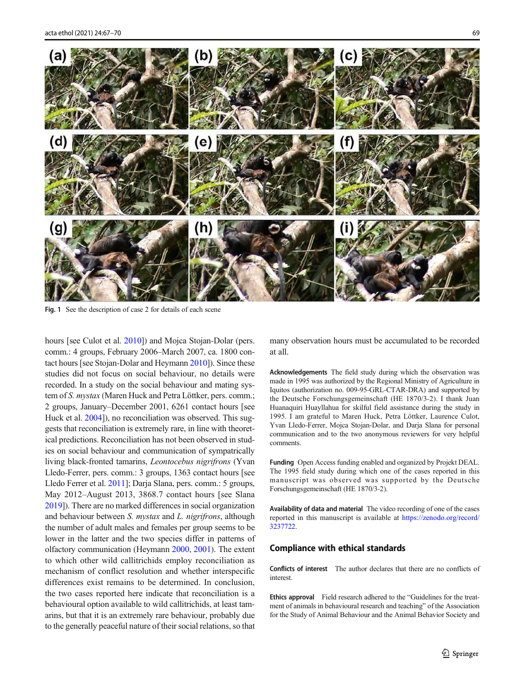<span id="page-2-0"></span>

Fig. 1 See the description of case 2 for details of each scene

hours [see Culot et al. [2010](#page-3-0)]) and Mojca Stojan-Dolar (pers. comm.: 4 groups, February 2006–March 2007, ca. 1800 contact hours [see Stojan-Dolar and Heymann [2010](#page-3-0)]). Since these studies did not focus on social behaviour, no details were recorded. In a study on the social behaviour and mating system of S. mystax (Maren Huck and Petra Löttker, pers. comm.; 2 groups, January–December 2001, 6261 contact hours [see Huck et al.  $2004$ ]), no reconciliation was observed. This suggests that reconciliation is extremely rare, in line with theoretical predictions. Reconciliation has not been observed in studies on social behaviour and communication of sympatrically living black-fronted tamarins, Leontocebus nigrifrons (Yvan Lledo-Ferrer, pers. comm.: 3 groups, 1363 contact hours [see Lledo Ferrer et al. [2011](#page-3-0)]; Darja Slana, pers. comm.: 5 groups, May 2012–August 2013, 3868.7 contact hours [see Slana [2019\]](#page-3-0)). There are no marked differences in social organization and behaviour between S. mystax and L. nigrifrons, although the number of adult males and females per group seems to be lower in the latter and the two species differ in patterns of olfactory communication (Heymann [2000,](#page-3-0) [2001](#page-3-0)). The extent to which other wild callitrichids employ reconciliation as mechanism of conflict resolution and whether interspecific differences exist remains to be determined. In conclusion, the two cases reported here indicate that reconciliation is a behavioural option available to wild callitrichids, at least tamarins, but that it is an extremely rare behaviour, probably due to the generally peaceful nature of their social relations, so that

many observation hours must be accumulated to be recorded at all.

Acknowledgements The field study during which the observation was made in 1995 was authorized by the Regional Ministry of Agriculture in Iquitos (authorization no. 009-95-GRL-CTAR-DRA) and supported by the Deutsche Forschungsgemeinschaft (HE 1870/3-2). I thank Juan Huanaquiri Huayllahua for skilful field assistance during the study in 1995. I am grateful to Maren Huck, Petra Löttker, Laurence Culot, Yvan Lledo-Ferrer, Mojca Stojan-Dolar, and Darja Slana for personal communication and to the two anonymous reviewers for very helpful comments.

Funding Open Access funding enabled and organized by Projekt DEAL. The 1995 field study during which one of the cases reported in this manuscript was observed was supported by the Deutsche Forschungsgemeinschaft (HE 1870/3-2).

Availability of data and material The video recording of one of the cases reported in this manuscript is available at [https://zenodo.org/record/](https://zenodo.org/record/3237722) [3237722](https://zenodo.org/record/3237722).

### Compliance with ethical standards

Conflicts of interest The author declares that there are no conflicts of interest.

Ethics approval Field research adhered to the "Guidelines for the treatment of animals in behavioural research and teaching" of the Association for the Study of Animal Behaviour and the Animal Behavior Society and